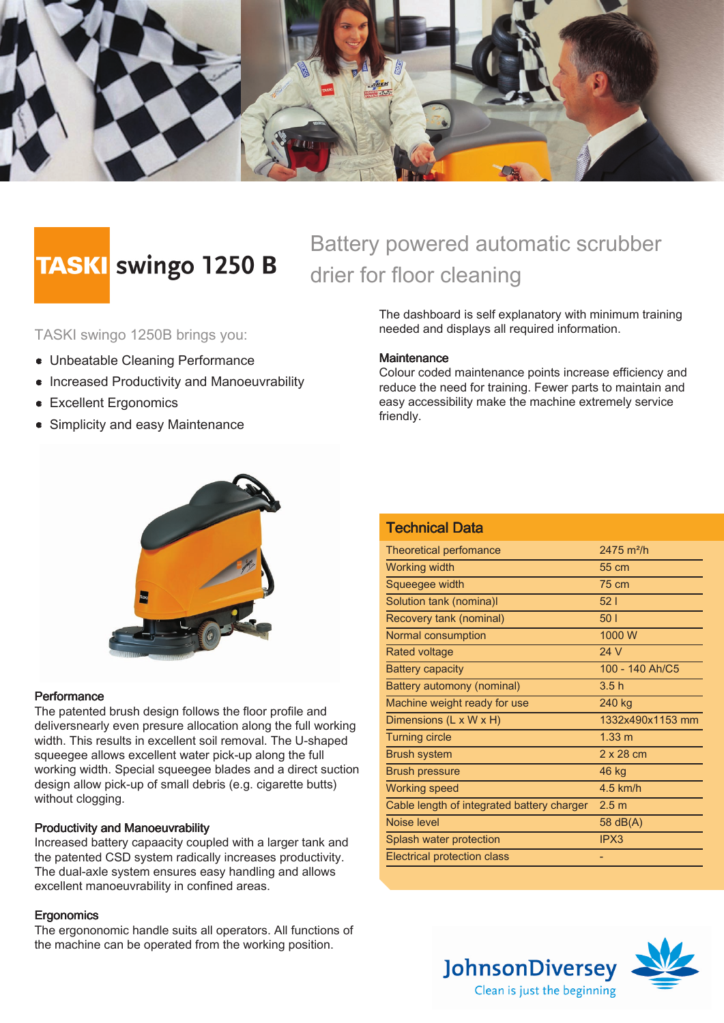

# **TASKI** swingo 1250 B

TASKI swingo 1250B brings you:

- Unbeatable Cleaning Performance
- **Increased Productivity and Manoeuvrability**
- Excellent Ergonomics
- Simplicity and easy Maintenance



#### **Performance**

The patented brush design follows the floor profile and deliversnearly even presure allocation along the full working width. This results in excellent soil removal. The U-shaped squeegee allows excellent water pick-up along the full working width. Special squeegee blades and a direct suction design allow pick-up of small debris (e.g. cigarette butts) without clogging.

#### Productivity and Manoeuvrability

Increased battery capaacity coupled with a larger tank and the patented CSD system radically increases productivity. The dual-axle system ensures easy handling and allows excellent manoeuvrability in confined areas.

#### **Ergonomics**

The ergononomic handle suits all operators. All functions of the machine can be operated from the working position.

Battery powered automatic scrubber drier for floor cleaning

> The dashboard is self explanatory with minimum training needed and displays all required information.

#### **Maintenance**

Colour coded maintenance points increase efficiency and reduce the need for training. Fewer parts to maintain and easy accessibility make the machine extremely service friendly.

| <b>Technical Data</b>                      |                      |  |
|--------------------------------------------|----------------------|--|
| <b>Theoretical perfomance</b>              | $2475 \text{ m}^2/h$ |  |
| <b>Working width</b>                       | 55 cm                |  |
| Squeegee width                             | 75 cm                |  |
| Solution tank (nomina)I                    | 521                  |  |
| Recovery tank (nominal)                    | 501                  |  |
| Normal consumption                         | 1000 W               |  |
| <b>Rated voltage</b>                       | 24 V                 |  |
| <b>Battery capacity</b>                    | 100 - 140 Ah/C5      |  |
| <b>Battery automony (nominal)</b>          | 3.5h                 |  |
| Machine weight ready for use               | 240 kg               |  |
| Dimensions (L x W x H)                     | 1332x490x1153 mm     |  |
| <b>Turning circle</b>                      | 1.33 <sub>m</sub>    |  |
| <b>Brush system</b>                        | $2 \times 28$ cm     |  |
| <b>Brush pressure</b>                      | 46 kg                |  |
| <b>Working speed</b>                       | $4.5$ km/h           |  |
| Cable length of integrated battery charger | 2.5 <sub>m</sub>     |  |
| Noise level                                | 58 dB(A)             |  |
| Splash water protection                    | IPX3                 |  |
| Electrical protection class                |                      |  |
|                                            |                      |  |